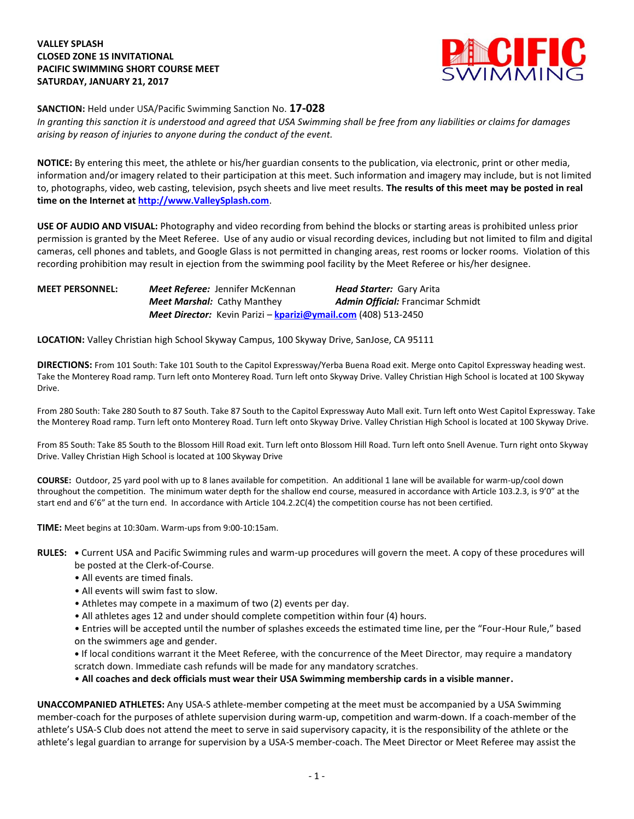## **VALLEY SPLASH CLOSED ZONE 1S INVITATIONAL PACIFIC SWIMMING SHORT COURSE MEET SATURDAY, JANUARY 21, 2017**



**SANCTION:** Held under USA/Pacific Swimming Sanction No. **17-028**

*In granting this sanction it is understood and agreed that USA Swimming shall be free from any liabilities or claims for damages arising by reason of injuries to anyone during the conduct of the event.*

**NOTICE:** By entering this meet, the athlete or his/her guardian consents to the publication, via electronic, print or other media, information and/or imagery related to their participation at this meet. Such information and imagery may include, but is not limited to, photographs, video, web casting, television, psych sheets and live meet results. **The results of this meet may be posted in real time on the Internet a[t http://www.ValleySplash.com](http://www.valleysplash.com/)**.

**USE OF AUDIO AND VISUAL:** Photography and video recording from behind the blocks or starting areas is prohibited unless prior permission is granted by the Meet Referee. Use of any audio or visual recording devices, including but not limited to film and digital cameras, cell phones and tablets, and Google Glass is not permitted in changing areas, rest rooms or locker rooms. Violation of this recording prohibition may result in ejection from the swimming pool facility by the Meet Referee or his/her designee.

# **MEET PERSONNEL:** *Meet Referee:* Jennifer McKennan *Head Starter:* Gary Arita *Meet Marshal:* Cathy Manthey *Admin Official:* Francimar Schmidt *Meet Director:* Kevin Parizi – **[kparizi@ymail.com](mailto:kparizi@ymail.com)** (408) 513-2450

**LOCATION:** Valley Christian high School Skyway Campus, 100 Skyway Drive, SanJose, CA 95111

**DIRECTIONS:** From 101 South: Take 101 South to the Capitol Expressway/Yerba Buena Road exit. Merge onto Capitol Expressway heading west. Take the Monterey Road ramp. Turn left onto Monterey Road. Turn left onto Skyway Drive. Valley Christian High School is located at 100 Skyway Drive.

From 280 South: Take 280 South to 87 South. Take 87 South to the Capitol Expressway Auto Mall exit. Turn left onto West Capitol Expressway. Take the Monterey Road ramp. Turn left onto Monterey Road. Turn left onto Skyway Drive. Valley Christian High School is located at 100 Skyway Drive.

From 85 South: Take 85 South to the Blossom Hill Road exit. Turn left onto Blossom Hill Road. Turn left onto Snell Avenue. Turn right onto Skyway Drive. Valley Christian High School is located at 100 Skyway Drive

**COURSE:** Outdoor, 25 yard pool with up to 8 lanes available for competition. An additional 1 lane will be available for warm-up/cool down throughout the competition. The minimum water depth for the shallow end course, measured in accordance with Article 103.2.3, is 9'0" at the start end and 6'6" at the turn end. In accordance with Article 104.2.2C(4) the competition course has not been certified.

**TIME:** Meet begins at 10:30am. Warm-ups from 9:00-10:15am.

- **RULES: •** Current USA and Pacific Swimming rules and warm-up procedures will govern the meet. A copy of these procedures will be posted at the Clerk-of-Course.
	- All events are timed finals.
	- All events will swim fast to slow.
	- Athletes may compete in a maximum of two (2) events per day.
	- All athletes ages 12 and under should complete competition within four (4) hours.

• Entries will be accepted until the number of splashes exceeds the estimated time line, per the "Four-Hour Rule," based on the swimmers age and gender.

- **•** If local conditions warrant it the Meet Referee, with the concurrence of the Meet Director, may require a mandatory scratch down. Immediate cash refunds will be made for any mandatory scratches.
- **All coaches and deck officials must wear their USA Swimming membership cards in a visible manner.**

**UNACCOMPANIED ATHLETES:** Any USA-S athlete-member competing at the meet must be accompanied by a USA Swimming member-coach for the purposes of athlete supervision during warm-up, competition and warm-down. If a coach-member of the athlete's USA-S Club does not attend the meet to serve in said supervisory capacity, it is the responsibility of the athlete or the athlete's legal guardian to arrange for supervision by a USA-S member-coach. The Meet Director or Meet Referee may assist the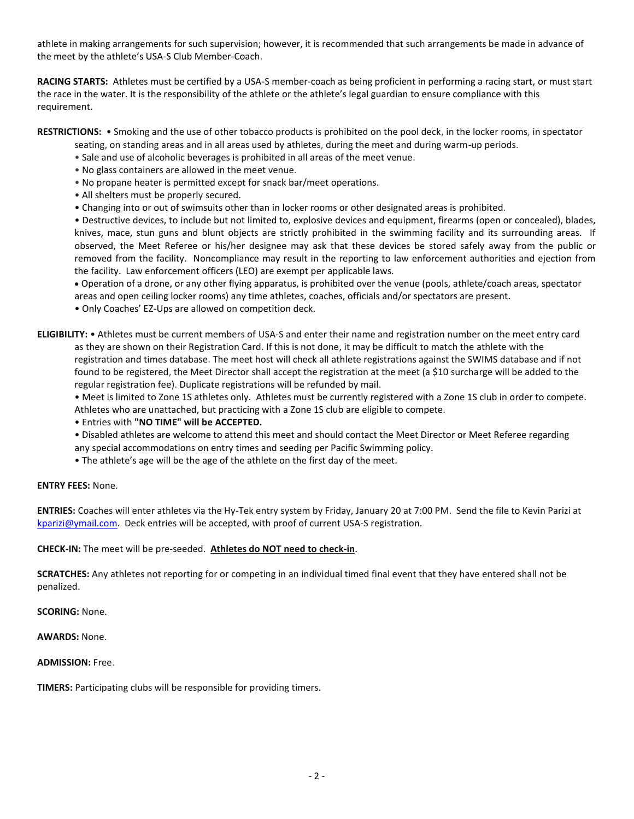athlete in making arrangements for such supervision; however, it is recommended that such arrangements be made in advance of the meet by the athlete's USA-S Club Member-Coach.

**RACING STARTS:** Athletes must be certified by a USA-S member-coach as being proficient in performing a racing start, or must start the race in the water. It is the responsibility of the athlete or the athlete's legal guardian to ensure compliance with this requirement.

**RESTRICTIONS:** • Smoking and the use of other tobacco products is prohibited on the pool deck, in the locker rooms, in spectator

seating, on standing areas and in all areas used by athletes, during the meet and during warm-up periods.

- Sale and use of alcoholic beverages is prohibited in all areas of the meet venue.
- No glass containers are allowed in the meet venue.
- No propane heater is permitted except for snack bar/meet operations.
- All shelters must be properly secured.
- Changing into or out of swimsuits other than in locker rooms or other designated areas is prohibited.

• Destructive devices, to include but not limited to, explosive devices and equipment, firearms (open or concealed), blades, knives, mace, stun guns and blunt objects are strictly prohibited in the swimming facility and its surrounding areas. If observed, the Meet Referee or his/her designee may ask that these devices be stored safely away from the public or removed from the facility. Noncompliance may result in the reporting to law enforcement authorities and ejection from the facility. Law enforcement officers (LEO) are exempt per applicable laws.

 Operation of a drone, or any other flying apparatus, is prohibited over the venue (pools, athlete/coach areas, spectator areas and open ceiling locker rooms) any time athletes, coaches, officials and/or spectators are present.

• Only Coaches' EZ-Ups are allowed on competition deck.

**ELIGIBILITY:** • Athletes must be current members of USA-S and enter their name and registration number on the meet entry card as they are shown on their Registration Card. If this is not done, it may be difficult to match the athlete with the registration and times database. The meet host will check all athlete registrations against the SWIMS database and if not found to be registered, the Meet Director shall accept the registration at the meet (a \$10 surcharge will be added to the regular registration fee). Duplicate registrations will be refunded by mail.

• Meet is limited to Zone 1S athletes only. Athletes must be currently registered with a Zone 1S club in order to compete. Athletes who are unattached, but practicing with a Zone 1S club are eligible to compete.

- Entries with **"NO TIME" will be ACCEPTED.**
- Disabled athletes are welcome to attend this meet and should contact the Meet Director or Meet Referee regarding any special accommodations on entry times and seeding per Pacific Swimming policy.
- The athlete's age will be the age of the athlete on the first day of the meet.

### **ENTRY FEES:** None.

**ENTRIES:** Coaches will enter athletes via the Hy-Tek entry system by Friday, January 20 at 7:00 PM. Send the file to Kevin Parizi at [kparizi@ymail.com.](mailto:kparizi@ymail.com) Deck entries will be accepted, with proof of current USA-S registration.

### **CHECK-IN:** The meet will be pre-seeded. **Athletes do NOT need to check-in**.

**SCRATCHES:** Any athletes not reporting for or competing in an individual timed final event that they have entered shall not be penalized.

### **SCORING:** None.

**AWARDS:** None.

### **ADMISSION:** Free.

**TIMERS:** Participating clubs will be responsible for providing timers.